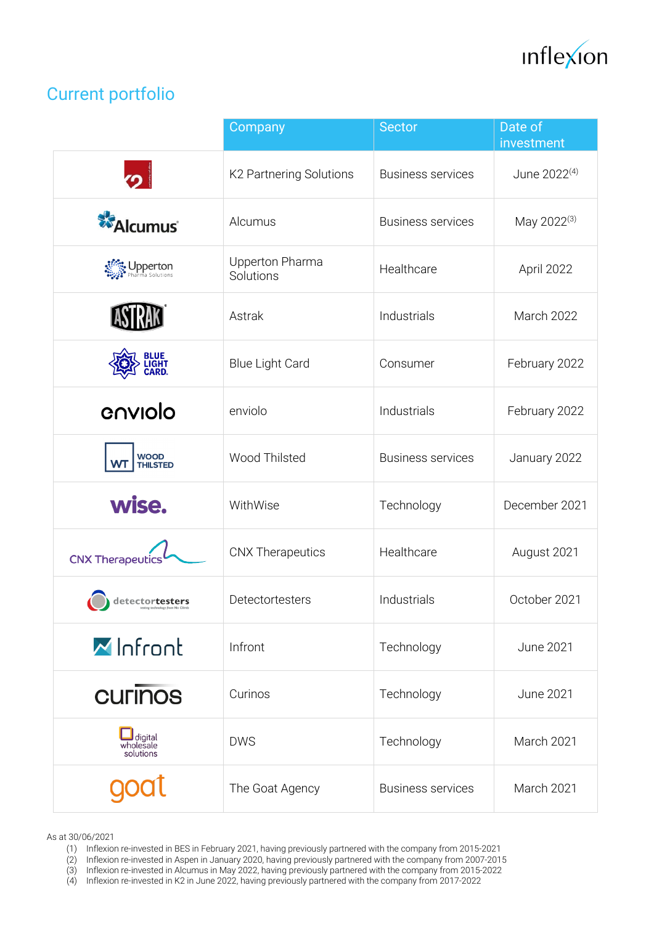

## Current portfolio

|                                    | Company                      | <b>Sector</b>            | Date of<br>investment    |
|------------------------------------|------------------------------|--------------------------|--------------------------|
|                                    | K2 Partnering Solutions      | <b>Business services</b> | June 2022 <sup>(4)</sup> |
| <b>Alcumus</b>                     | Alcumus                      | <b>Business services</b> | May 2022 <sup>(3)</sup>  |
| Dpperton                           | Upperton Pharma<br>Solutions | Healthcare               | April 2022               |
|                                    | Astrak                       | Industrials              | March 2022               |
| BLUE<br>LIGHT<br>CARD.             | <b>Blue Light Card</b>       | Consumer                 | February 2022            |
| enviolo                            | enviolo                      | Industrials              | February 2022            |
| WOOD<br>THILSTED                   | Wood Thilsted                | <b>Business services</b> | January 2022             |
| wise.                              | WithWise                     | Technology               | December 2021            |
| <b>CNX Therapeutics</b>            | <b>CNX Therapeutics</b>      | Healthcare               | August 2021              |
| detectortesters                    | Detectortesters              | Industrials              | October 2021             |
| MInfront                           | Infront                      | Technology               | <b>June 2021</b>         |
| <b>CULIDOS</b>                     | Curinos                      | Technology               | <b>June 2021</b>         |
| Udigital<br>wholesale<br>solutions | <b>DWS</b>                   | Technology               | March 2021               |
|                                    | The Goat Agency              | <b>Business services</b> | March 2021               |

As at 30/06/2021

- (2) Inflexion re-invested in Aspen in January 2020, having previously partnered with the company from 2007-2015
- (3) Inflexion re-invested in Alcumus in May 2022, having previously partnered with the company from 2015-2022
- (4) Inflexion re-invested in K2 in June 2022, having previously partnered with the company from 2017-2022

<sup>(1)</sup> Inflexion re-invested in BES in February 2021, having previously partnered with the company from 2015-2021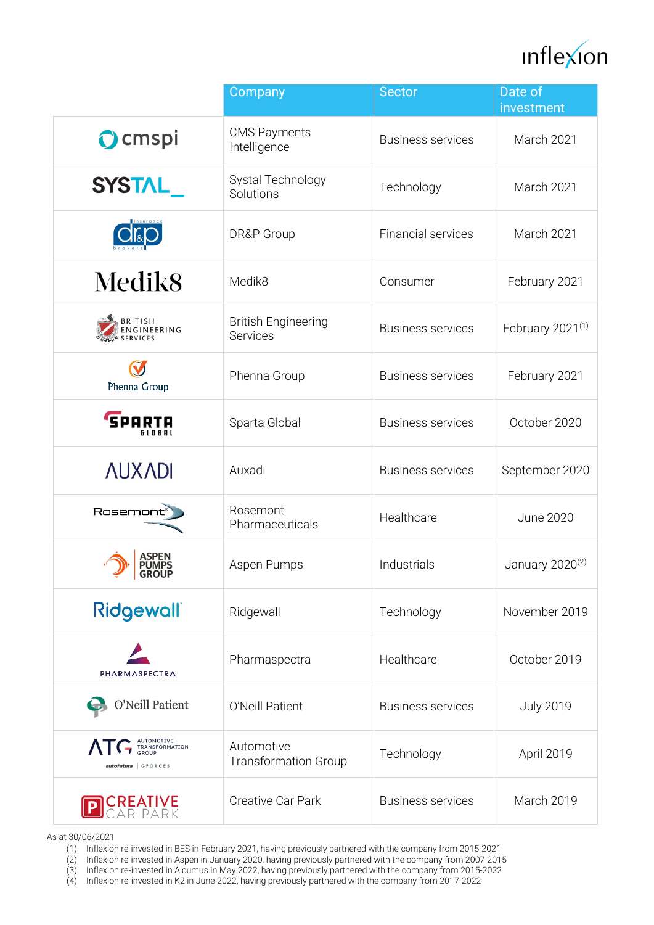

|                                                                                                                | Company                                   | <b>Sector</b>             | Date of<br>investment        |
|----------------------------------------------------------------------------------------------------------------|-------------------------------------------|---------------------------|------------------------------|
| Ocmspi                                                                                                         | <b>CMS Payments</b><br>Intelligence       | <b>Business services</b>  | March 2021                   |
| <b>SYSTAL</b>                                                                                                  | Systal Technology<br>Solutions            | Technology                | March 2021                   |
|                                                                                                                | DR&P Group                                | <b>Financial services</b> | March 2021                   |
| Medik <sub>8</sub>                                                                                             | Medik8                                    | Consumer                  | February 2021                |
| BRITISH<br>ENGINEERING                                                                                         | <b>British Engineering</b><br>Services    | <b>Business services</b>  | February 2021 <sup>(1)</sup> |
| Phenna Group                                                                                                   | Phenna Group                              | <b>Business services</b>  | February 2021                |
| <b>SPARTA</b><br>GLOBAL                                                                                        | Sparta Global                             | <b>Business services</b>  | October 2020                 |
| <b>NUXADI</b>                                                                                                  | Auxadi                                    | <b>Business services</b>  | September 2020               |
| Rosemont                                                                                                       | Rosemont<br>Pharmaceuticals               | Healthcare                | <b>June 2020</b>             |
| on University of the University of the University of the University of the University of the University of the | Aspen Pumps                               | Industrials               | January 2020 <sup>(2)</sup>  |
| <b>Ridgewall</b>                                                                                               | Ridgewall                                 | Technology                | November 2019                |
| PHARMASPECTRA                                                                                                  | Pharmaspectra                             | Healthcare                | October 2019                 |
| O'Neill Patient                                                                                                | O'Neill Patient                           | <b>Business services</b>  | <b>July 2019</b>             |
| AUTOMOTIVE<br>TRANSFORMATION<br>GROUP<br>autofutura   GFORCES                                                  | Automotive<br><b>Transformation Group</b> | Technology                | April 2019                   |
| REATIVE<br>Ar park                                                                                             | Creative Car Park                         | <b>Business services</b>  | March 2019                   |

As at 30/06/2021

- (2) Inflexion re-invested in Aspen in January 2020, having previously partnered with the company from 2007-2015
- (3) Inflexion re-invested in Alcumus in May 2022, having previously partnered with the company from 2015-2022
- (4) Inflexion re-invested in K2 in June 2022, having previously partnered with the company from 2017-2022

<sup>(1)</sup> Inflexion re-invested in BES in February 2021, having previously partnered with the company from 2015-2021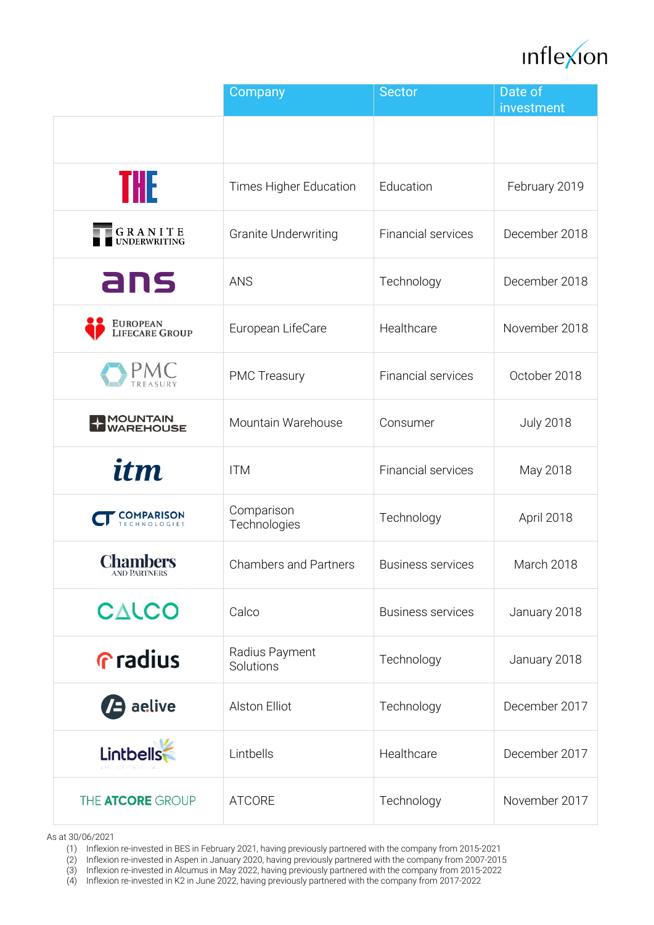

|                                 | Company                      | <b>Sector</b>             | Date of<br>investment |
|---------------------------------|------------------------------|---------------------------|-----------------------|
|                                 |                              |                           |                       |
| THE                             | Times Higher Education       | Education                 | February 2019         |
| <b>GRANITE</b><br>UNDERWRITING  | <b>Granite Underwriting</b>  | <b>Financial services</b> | December 2018         |
| ans                             | <b>ANS</b>                   | Technology                | December 2018         |
| EUROPEAN<br>LIFECARE GROUP      | European LifeCare            | Healthcare                | November 2018         |
|                                 | <b>PMC Treasury</b>          | Financial services        | October 2018          |
| <b>MOUNTAIN<br/>WAREHOUSE</b>   | Mountain Warehouse           | Consumer                  | <b>July 2018</b>      |
| itm                             | <b>ITM</b>                   | <b>Financial services</b> | May 2018              |
| <b>COMPARISON</b>               | Comparison<br>Technologies   | Technology                | April 2018            |
| <b>Chambers</b><br>AND PARTNERS | <b>Chambers and Partners</b> | <b>Business services</b>  | March 2018            |
| CALCO                           | Calco                        | <b>Business services</b>  | January 2018          |
| <b>Gradius</b>                  | Radius Payment<br>Solutions  | Technology                | January 2018          |
| <b>B</b> aelive                 | <b>Alston Elliot</b>         | Technology                | December 2017         |
| Lintbells                       | Lintbells                    | Healthcare                | December 2017         |
| THE <b>ATCORE</b> GROUP         | <b>ATCORE</b>                | Technology                | November 2017         |

As at 30/06/2021

(1) Inflexion re-invested in BES in February 2021, having previously partnered with the company from 2015-2021

(2) Inflexion re-invested in Aspen in January 2020, having previously partnered with the company from 2007-2015

(3) Inflexion re-invested in Alcumus in May 2022, having previously partnered with the company from 2015-2022

(4) Inflexion re-invested in K2 in June 2022, having previously partnered with the company from 2017-2022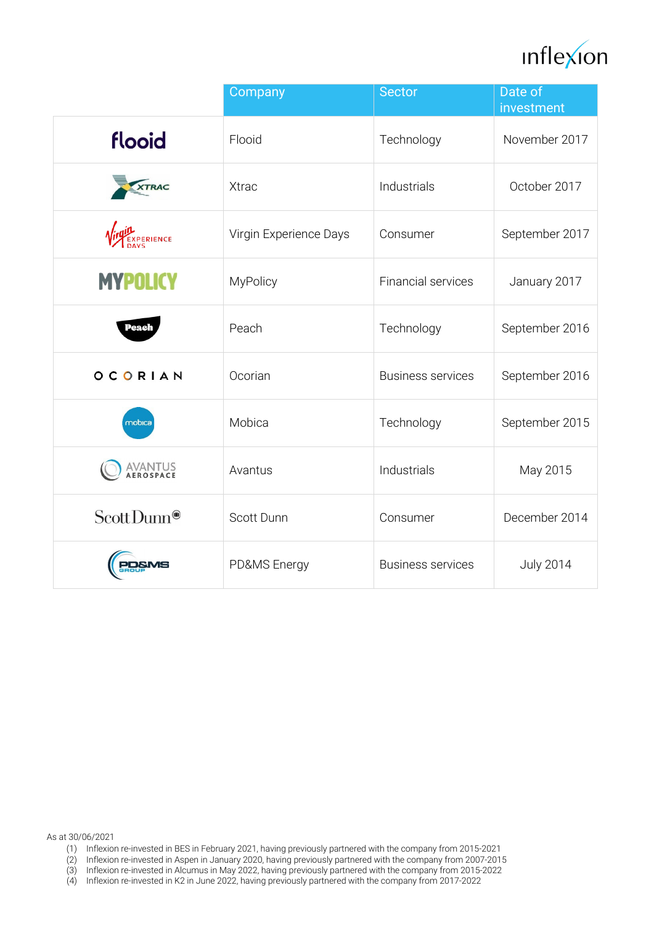

|                         | Company                | <b>Sector</b>            | Date of<br>investment |
|-------------------------|------------------------|--------------------------|-----------------------|
| flooid                  | Flooid                 | Technology               | November 2017         |
| <b>XTRAC</b>            | <b>Xtrac</b>           | Industrials              | October 2017          |
| PERIENCE                | Virgin Experience Days | Consumer                 | September 2017        |
| <b>MYPOLICY</b>         | MyPolicy               | Financial services       | January 2017          |
| Peach                   | Peach                  | Technology               | September 2016        |
| OCORIAN                 | Ocorian                | <b>Business services</b> | September 2016        |
| mobica                  | Mobica                 | Technology               | September 2015        |
| AVANTUS<br>aerospace    | Avantus                | Industrials              | May 2015              |
| Scott Dunn <sup>®</sup> | Scott Dunn             | Consumer                 | December 2014         |
|                         | PD&MS Energy           | <b>Business services</b> | <b>July 2014</b>      |

As at 30/06/2021

- (1) Inflexion re-invested in BES in February 2021, having previously partnered with the company from 2015-2021
- (2) Inflexion re-invested in Aspen in January 2020, having previously partnered with the company from 2007-2015
- (3) Inflexion re-invested in Alcumus in May 2022, having previously partnered with the company from 2015-2022
- (4) Inflexion re-invested in K2 in June 2022, having previously partnered with the company from 2017-2022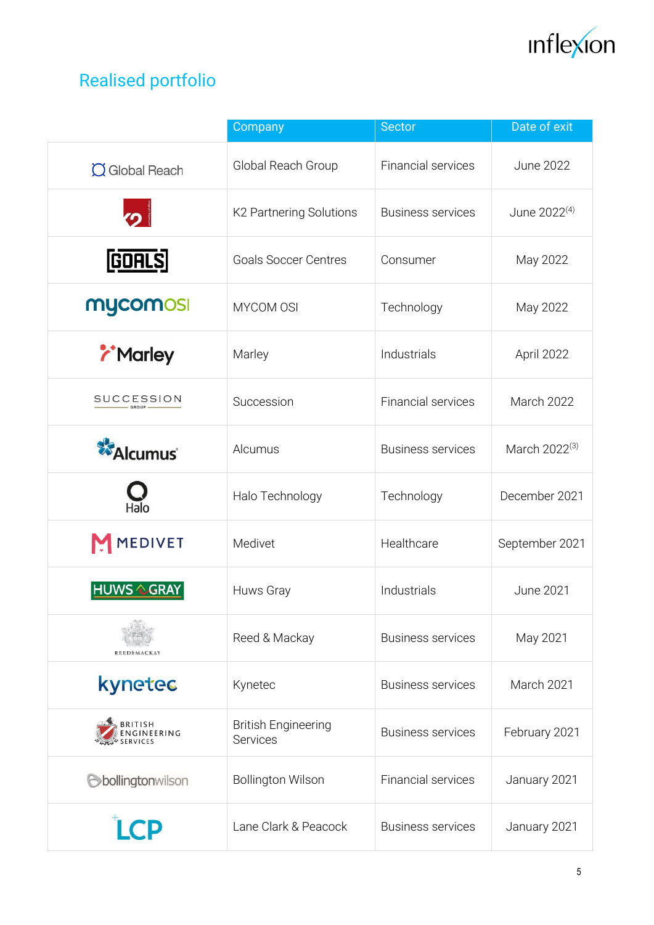

## Realised portfolio

|                                    | Company                                | <b>Sector</b>             | Date of exit             |
|------------------------------------|----------------------------------------|---------------------------|--------------------------|
| $\alpha$ Global Reach              | Global Reach Group                     | Financial services        | <b>June 2022</b>         |
| $\overline{O}$                     | K2 Partnering Solutions                | <b>Business services</b>  | June 2022 <sup>(4)</sup> |
| <b>GOALS</b>                       | <b>Goals Soccer Centres</b>            | Consumer                  | May 2022                 |
| mycomosi                           | MYCOM OSI                              | Technology                | May 2022                 |
| <b><i>i</i></b> Marley             | Marley                                 | Industrials               | April 2022               |
| <b>SUCCESSION</b><br>$-$ GROUP $-$ | Succession                             | <b>Financial services</b> | March 2022               |
| <b>Alcumus</b>                     | Alcumus                                | <b>Business services</b>  | March 2022(3)            |
| Halo                               | Halo Technology                        | Technology                | December 2021            |
| <b>MEDIVET</b>                     | Medivet                                | Healthcare                | September 2021           |
| <b>HUWS &amp; GRAY</b>             | Huws Gray                              | Industrials               | <b>June 2021</b>         |
|                                    | Reed & Mackay                          | <b>Business services</b>  | May 2021                 |
| kynetec                            | Kynetec                                | <b>Business services</b>  | March 2021               |
| BRITISH<br>ENGINEERING             | <b>British Engineering</b><br>Services | <b>Business services</b>  | February 2021            |
| bollingtonwilson                   | <b>Bollington Wilson</b>               | <b>Financial services</b> | January 2021             |
| CP                                 | Lane Clark & Peacock                   | <b>Business services</b>  | January 2021             |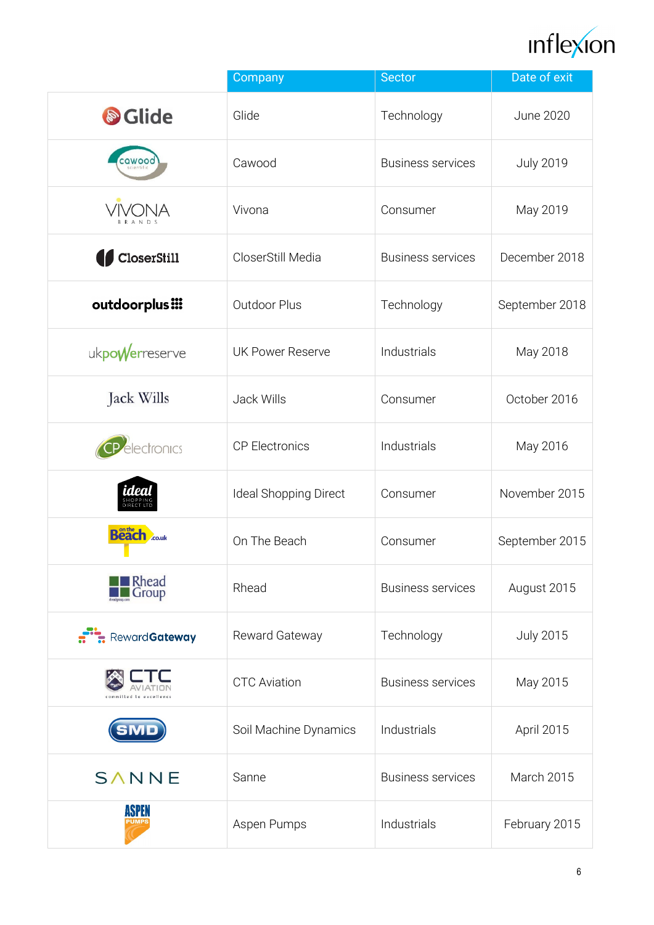

|                                | Company                 | <b>Sector</b>            | Date of exit     |
|--------------------------------|-------------------------|--------------------------|------------------|
| Sclide                         | Glide                   | Technology               | <b>June 2020</b> |
| cawood                         | Cawood                  | <b>Business services</b> | <b>July 2019</b> |
| <b>VIVONA</b><br><b>BRANDS</b> | Vivona                  | Consumer                 | May 2019         |
| CloserStill                    | CloserStill Media       | <b>Business services</b> | December 2018    |
| outdoorplus :::                | Outdoor Plus            | Technology               | September 2018   |
| ukpowerreserve                 | <b>UK Power Reserve</b> | Industrials              | May 2018         |
| Jack Wills                     | Jack Wills              | Consumer                 | October 2016     |
| electronics                    | <b>CP Electronics</b>   | Industrials              | May 2016         |
| dea                            | Ideal Shopping Direct   | Consumer                 | November 2015    |
| <b>Beach</b> Could             | On The Beach            | Consumer                 | September 2015   |
| <b>Rhead</b><br>Group          | Rhead                   | <b>Business services</b> | August 2015      |
| RewardGateway                  | Reward Gateway          | Technology               | <b>July 2015</b> |
|                                | <b>CTC Aviation</b>     | <b>Business services</b> | May 2015         |
|                                | Soil Machine Dynamics   | Industrials              | April 2015       |
| SANNE                          | Sanne                   | <b>Business services</b> | March 2015       |
| ASPEN<br>PUMP:                 | Aspen Pumps             | Industrials              | February 2015    |